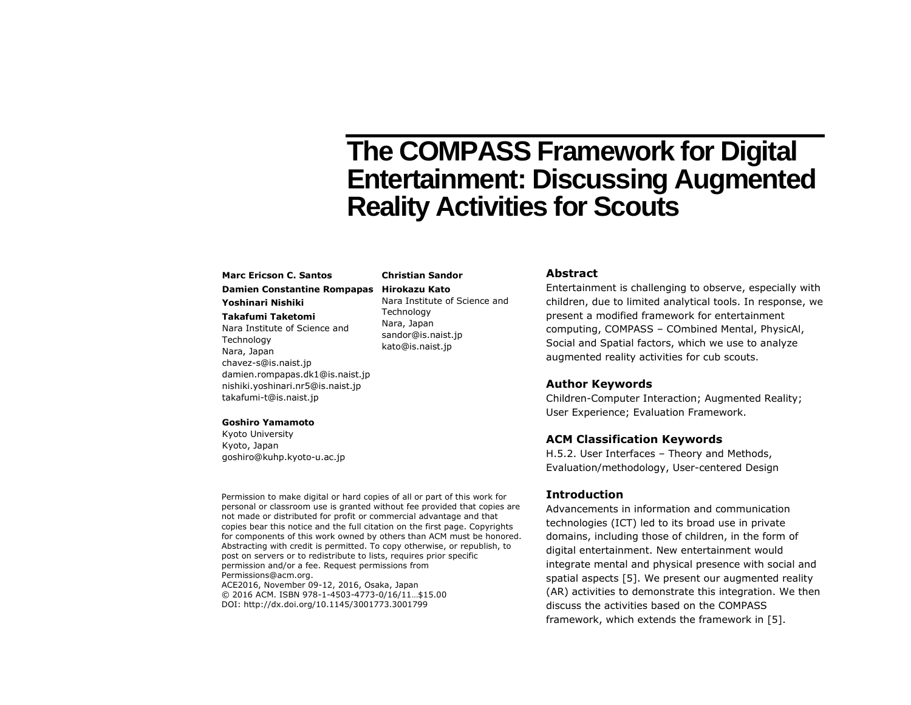# **The COMPASS Framework for Digital Entertainment: Discussing Augmented Reality Activities for Scouts**

# **Marc Ericson C. Santos**

# **Damien Constantine Rompapas Hirokazu Kato**

# **Yoshinari Nishiki**

**Takafumi Taketomi** Nara Institute of Science and **Technology** Nara, Japan chavez-s@is.naist.jp damien.rompapas.dk1@is.naist.jp nishiki.yoshinari.nr5@is.naist.jp takafumi-t@is.naist.jp

#### **Goshiro Yamamoto**

Kyoto University Kyoto, Japan goshiro@kuhp.kyoto-u.ac.jp

Permission to make digital or hard copies of all or part of this work for personal or classroom use is granted without fee provided that copies are not made or distributed for profit or commercial advantage and that copies bear this notice and the full citation on the first page. Copyrights for components of this work owned by others than ACM must be honored. Abstracting with credit is permitted. To copy otherwise, or republish, to post on servers or to redistribute to lists, requires prior specific permission and/or a fee. Request permissions from Permissions@acm.org. ACE2016, November 09-12, 2016, Osaka, Japan

**Christian Sandor**

**Technology** Nara, Japan

kato@is.naist.jp

© 2016 ACM. ISBN 978-1-4503-4773-0/16/11…\$15.00 DOI: http://dx.doi.org/10.1145/3001773.3001799

# **Abstract**

Entertainment is challenging to observe, especially with children, due to limited analytical tools. In response, we present a modified framework for entertainment computing, COMPASS – COmbined Mental, PhysicAl, Social and Spatial factors, which we use to analyze augmented reality activities for cub scouts. Nara Institute of Science and sandor@is.naist.jp

## **Author Keywords**

Children-Computer Interaction; Augmented Reality; User Experience; Evaluation Framework.

#### **ACM Classification Keywords**

H.5.2. User Interfaces – Theory and Methods, Evaluation/methodology, User-centered Design

#### **Introduction**

Advancements in information and communication technologies (ICT) led to its broad use in private domains, including those of children, in the form of digital entertainment. New entertainment would integrate mental and physical presence with social and spatial aspects [5]. We present our augmented reality (AR) activities to demonstrate this integration. We then discuss the activities based on the COMPASS framework, which extends the framework in [5].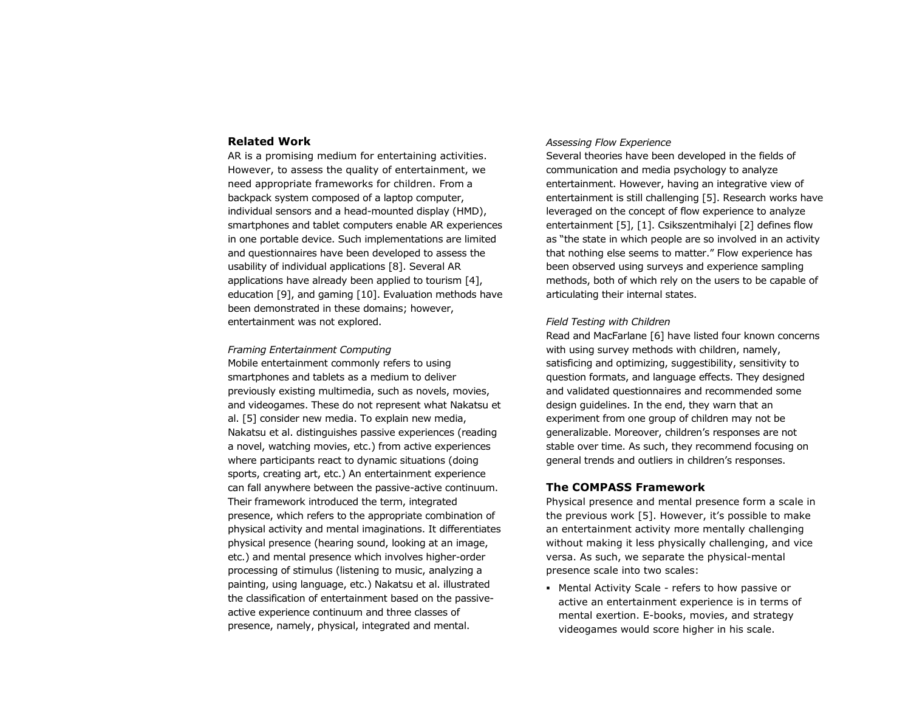#### **Related Work**

AR is a promising medium for entertaining activities. However, to assess the quality of entertainment, we need appropriate frameworks for children. From a backpack system composed of a laptop computer, individual sensors and a head-mounted display (HMD), smartphones and tablet computers enable AR experiences in one portable device. Such implementations are limited and questionnaires have been developed to assess the usability of individual applications [8]. Several AR applications have already been applied to tourism [4], education [9], and gaming [10]. Evaluation methods have been demonstrated in these domains; however, entertainment was not explored.

#### *Framing Entertainment Computing*

Mobile entertainment commonly refers to using smartphones and tablets as a medium to deliver previously existing multimedia, such as novels, movies, and videogames. These do not represent what Nakatsu et al. [5] consider new media. To explain new media, Nakatsu et al. distinguishes passive experiences (reading a novel, watching movies, etc.) from active experiences where participants react to dynamic situations (doing sports, creating art, etc.) An entertainment experience can fall anywhere between the passive-active continuum. Their framework introduced the term, integrated presence, which refers to the appropriate combination of physical activity and mental imaginations. It differentiates physical presence (hearing sound, looking at an image, etc.) and mental presence which involves higher-order processing of stimulus (listening to music, analyzing a painting, using language, etc.) Nakatsu et al. illustrated the classification of entertainment based on the passiveactive experience continuum and three classes of presence, namely, physical, integrated and mental.

#### *Assessing Flow Experience*

Several theories have been developed in the fields of communication and media psychology to analyze entertainment. However, having an integrative view of entertainment is still challenging [5]. Research works have leveraged on the concept of flow experience to analyze entertainment [5], [1]. Csikszentmihalyi [2] defines flow as "the state in which people are so involved in an activity that nothing else seems to matter." Flow experience has been observed using surveys and experience sampling methods, both of which rely on the users to be capable of articulating their internal states.

#### *Field Testing with Children*

Read and MacFarlane [6] have listed four known concerns with using survey methods with children, namely, satisficing and optimizing, suggestibility, sensitivity to question formats, and language effects. They designed and validated questionnaires and recommended some design guidelines. In the end, they warn that an experiment from one group of children may not be generalizable. Moreover, children's responses are not stable over time. As such, they recommend focusing on general trends and outliers in children's responses.

# **The COMPASS Framework**

Physical presence and mental presence form a scale in the previous work [5]. However, it's possible to make an entertainment activity more mentally challenging without making it less physically challenging, and vice versa. As such, we separate the physical-mental presence scale into two scales:

 Mental Activity Scale - refers to how passive or active an entertainment experience is in terms of mental exertion. E-books, movies, and strategy videogames would score higher in his scale.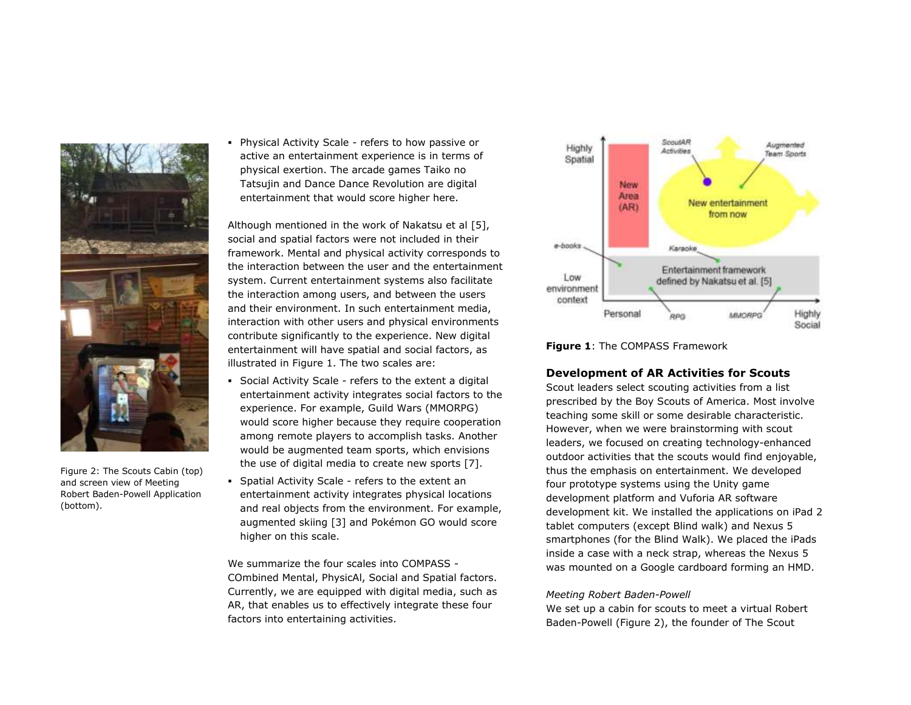

Figure 2: The Scouts Cabin (top) and screen view of Meeting Robert Baden-Powell Application (bottom).

 Physical Activity Scale - refers to how passive or active an entertainment experience is in terms of physical exertion. The arcade games Taiko no Tatsujin and Dance Dance Revolution are digital entertainment that would score higher here.

Although mentioned in the work of Nakatsu et al [5], social and spatial factors were not included in their framework. Mental and physical activity corresponds to the interaction between the user and the entertainment system. Current entertainment systems also facilitate the interaction among users, and between the users and their environment. In such entertainment media, interaction with other users and physical environments contribute significantly to the experience. New digital entertainment will have spatial and social factors, as illustrated in Figure 1. The two scales are:

- Social Activity Scale refers to the extent a digital entertainment activity integrates social factors to the experience. For example, Guild Wars (MMORPG) would score higher because they require cooperation among remote players to accomplish tasks. Another would be augmented team sports, which envisions the use of digital media to create new sports [7].
- Spatial Activity Scale refers to the extent an entertainment activity integrates physical locations and real objects from the environment. For example, augmented skiing [3] and Pokémon GO would score higher on this scale.

We summarize the four scales into COMPASS - COmbined Mental, PhysicAl, Social and Spatial factors. Currently, we are equipped with digital media, such as AR, that enables us to effectively integrate these four factors into entertaining activities.



**Figure 1**: The COMPASS Framework

# **Development of AR Activities for Scouts**

Scout leaders select scouting activities from a list prescribed by the Boy Scouts of America. Most involve teaching some skill or some desirable characteristic. However, when we were brainstorming with scout leaders, we focused on creating technology-enhanced outdoor activities that the scouts would find enjoyable, thus the emphasis on entertainment. We developed four prototype systems using the Unity game development platform and Vuforia AR software development kit. We installed the applications on iPad 2 tablet computers (except Blind walk) and Nexus 5 smartphones (for the Blind Walk). We placed the iPads inside a case with a neck strap, whereas the Nexus 5 was mounted on a Google cardboard forming an HMD.

#### *Meeting Robert Baden-Powell*

We set up a cabin for scouts to meet a virtual Robert Baden-Powell (Figure 2), the founder of The Scout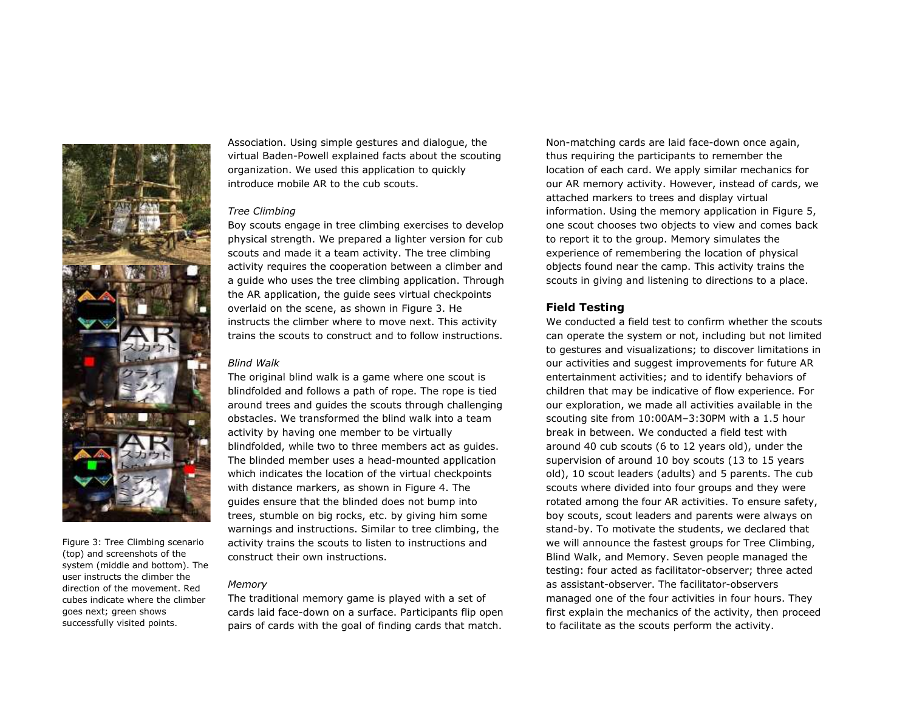

Figure 3: Tree Climbing scenario (top) and screenshots of the system (middle and bottom). The user instructs the climber the direction of the movement. Red cubes indicate where the climber goes next; green shows successfully visited points.

Association. Using simple gestures and dialogue, the virtual Baden-Powell explained facts about the scouting organization. We used this application to quickly introduce mobile AR to the cub scouts.

#### *Tree Climbing*

Boy scouts engage in tree climbing exercises to develop physical strength. We prepared a lighter version for cub scouts and made it a team activity. The tree climbing activity requires the cooperation between a climber and a guide who uses the tree climbing application. Through the AR application, the guide sees virtual checkpoints overlaid on the scene, as shown in Figure 3. He instructs the climber where to move next. This activity trains the scouts to construct and to follow instructions.

#### *Blind Walk*

The original blind walk is a game where one scout is blindfolded and follows a path of rope. The rope is tied around trees and guides the scouts through challenging obstacles. We transformed the blind walk into a team activity by having one member to be virtually blindfolded, while two to three members act as guides. The blinded member uses a head-mounted application which indicates the location of the virtual checkpoints with distance markers, as shown in Figure 4. The guides ensure that the blinded does not bump into trees, stumble on big rocks, etc. by giving him some warnings and instructions. Similar to tree climbing, the activity trains the scouts to listen to instructions and construct their own instructions.

## *Memory*

The traditional memory game is played with a set of cards laid face-down on a surface. Participants flip open pairs of cards with the goal of finding cards that match.

Non-matching cards are laid face-down once again, thus requiring the participants to remember the location of each card. We apply similar mechanics for our AR memory activity. However, instead of cards, we attached markers to trees and display virtual information. Using the memory application in Figure 5, one scout chooses two objects to view and comes back to report it to the group. Memory simulates the experience of remembering the location of physical objects found near the camp. This activity trains the scouts in giving and listening to directions to a place.

## **Field Testing**

We conducted a field test to confirm whether the scouts can operate the system or not, including but not limited to gestures and visualizations; to discover limitations in our activities and suggest improvements for future AR entertainment activities; and to identify behaviors of children that may be indicative of flow experience. For our exploration, we made all activities available in the scouting site from 10:00AM–3:30PM with a 1.5 hour break in between. We conducted a field test with around 40 cub scouts (6 to 12 years old), under the supervision of around 10 boy scouts (13 to 15 years old), 10 scout leaders (adults) and 5 parents. The cub scouts where divided into four groups and they were rotated among the four AR activities. To ensure safety, boy scouts, scout leaders and parents were always on stand-by. To motivate the students, we declared that we will announce the fastest groups for Tree Climbing, Blind Walk, and Memory. Seven people managed the testing: four acted as facilitator-observer; three acted as assistant-observer. The facilitator-observers managed one of the four activities in four hours. They first explain the mechanics of the activity, then proceed to facilitate as the scouts perform the activity.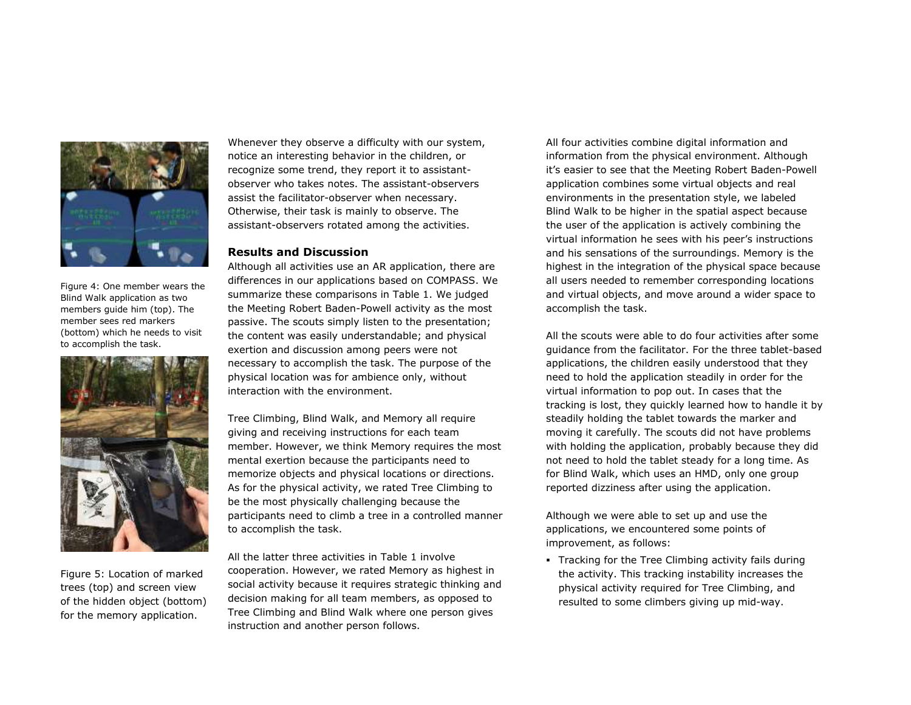

Figure 4: One member wears the Blind Walk application as two members guide him (top). The member sees red markers (bottom) which he needs to visit to accomplish the task.



Figure 5: Location of marked trees (top) and screen view of the hidden object (bottom) for the memory application.

Whenever they observe a difficulty with our system, notice an interesting behavior in the children, or recognize some trend, they report it to assistantobserver who takes notes. The assistant-observers assist the facilitator-observer when necessary. Otherwise, their task is mainly to observe. The assistant-observers rotated among the activities.

# **Results and Discussion**

Although all activities use an AR application, there are differences in our applications based on COMPASS. We summarize these comparisons in Table 1. We judged the Meeting Robert Baden-Powell activity as the most passive. The scouts simply listen to the presentation; the content was easily understandable; and physical exertion and discussion among peers were not necessary to accomplish the task. The purpose of the physical location was for ambience only, without interaction with the environment.

Tree Climbing, Blind Walk, and Memory all require giving and receiving instructions for each team member. However, we think Memory requires the most mental exertion because the participants need to memorize objects and physical locations or directions. As for the physical activity, we rated Tree Climbing to be the most physically challenging because the participants need to climb a tree in a controlled manner to accomplish the task.

All the latter three activities in Table 1 involve cooperation. However, we rated Memory as highest in social activity because it requires strategic thinking and decision making for all team members, as opposed to Tree Climbing and Blind Walk where one person gives instruction and another person follows.

All four activities combine digital information and information from the physical environment. Although it's easier to see that the Meeting Robert Baden-Powell application combines some virtual objects and real environments in the presentation style, we labeled Blind Walk to be higher in the spatial aspect because the user of the application is actively combining the virtual information he sees with his peer's instructions and his sensations of the surroundings. Memory is the highest in the integration of the physical space because all users needed to remember corresponding locations and virtual objects, and move around a wider space to accomplish the task.

All the scouts were able to do four activities after some guidance from the facilitator. For the three tablet-based applications, the children easily understood that they need to hold the application steadily in order for the virtual information to pop out. In cases that the tracking is lost, they quickly learned how to handle it by steadily holding the tablet towards the marker and moving it carefully. The scouts did not have problems with holding the application, probably because they did not need to hold the tablet steady for a long time. As for Blind Walk, which uses an HMD, only one group reported dizziness after using the application.

Although we were able to set up and use the applications, we encountered some points of improvement, as follows:

 Tracking for the Tree Climbing activity fails during the activity. This tracking instability increases the physical activity required for Tree Climbing, and resulted to some climbers giving up mid-way.